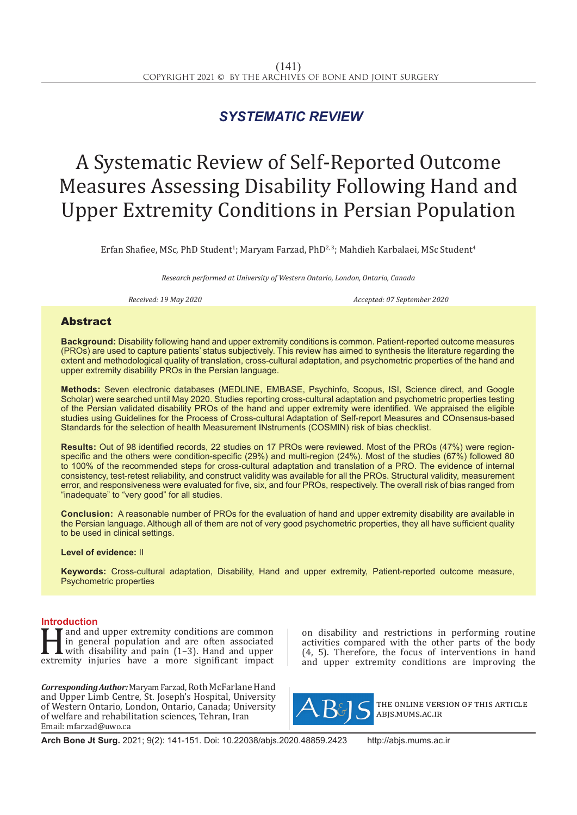# *SYSTEMATIC REVIEW*

# A Systematic Review of Self-Reported Outcome Measures Assessing Disability Following Hand and Upper Extremity Conditions in Persian Population

Erfan Shafiee, MSc, PhD Student<sup>1</sup>; Maryam Farzad, PhD<sup>2,3</sup>; Mahdieh Karbalaei, MSc Student<sup>4</sup>

*Research performed at University of Western Ontario, London, Ontario, Canada* 

*Received: 19 May 2020 Accepted: 07 September 2020*

## Abstract

**Background:** Disability following hand and upper extremity conditions is common. Patient-reported outcome measures (PROs) are used to capture patients' status subjectively. This review has aimed to synthesis the literature regarding the extent and methodological quality of translation, cross-cultural adaptation, and psychometric properties of the hand and upper extremity disability PROs in the Persian language.

**Methods:** Seven electronic databases (MEDLINE, EMBASE, Psychinfo, Scopus, ISI, Science direct, and Google Scholar) were searched until May 2020. Studies reporting cross-cultural adaptation and psychometric properties testing of the Persian validated disability PROs of the hand and upper extremity were identified. We appraised the eligible studies using Guidelines for the Process of Cross-cultural Adaptation of Self-report Measures and COnsensus-based Standards for the selection of health Measurement INstruments (COSMIN) risk of bias checklist.

**Results:** Out of 98 identified records, 22 studies on 17 PROs were reviewed. Most of the PROs (47%) were regionspecific and the others were condition-specific (29%) and multi-region (24%). Most of the studies (67%) followed 80 to 100% of the recommended steps for cross-cultural adaptation and translation of a PRO. The evidence of internal consistency, test-retest reliability, and construct validity was available for all the PROs. Structural validity, measurement error, and responsiveness were evaluated for five, six, and four PROs, respectively. The overall risk of bias ranged from "inadequate" to "very good" for all studies.

**Conclusion:** A reasonable number of PROs for the evaluation of hand and upper extremity disability are available in the Persian language. Although all of them are not of very good psychometric properties, they all have sufficient quality to be used in clinical settings.

#### **Level of evidence:** II

**Keywords:** Cross-cultural adaptation, Disability, Hand and upper extremity, Patient-reported outcome measure, Psychometric properties

**Introduction**<br>**T T** and and upper extremity conditions are common and and upper extremity conditions are common<br>in general population and are often associated<br>with disability and pain (1–3). Hand and upper<br>extremity injuries have a more significant impact in general population and are often associated with disability and pain (1–3). Hand and upper extremity injuries have a more significant impact

*Corresponding Author:* Maryam Farzad, Roth McFarlane Hand and Upper Limb Centre, St. Joseph's Hospital, University of Western Ontario, London, Ontario, Canada; University of welfare and rehabilitation sciences, Tehran, Iran Email: mfarzad@uwo.ca

on disability and restrictions in performing routine activities compared with the other parts of the body  $(4, 5)$ . Therefore, the focus of interventions in hand and upper extremity conditions are improving the



the online version of this article abjs.mums.ac.ir

**Arch Bone Jt Surg.** 2021; 9(2): 141-151. Doi: 10.22038/abjs.2020.48859.2423 http://abjs.mums.ac.ir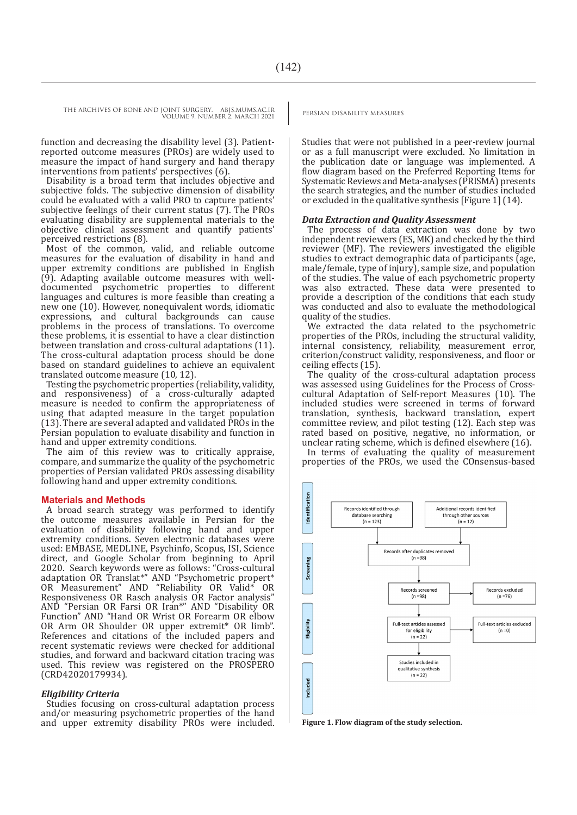function and decreasing the disability level (3). Patientreported outcome measures (PROs) are widely used to measure the impact of hand surgery and hand therapy interventions from patients' perspectives (6).

Disability is a broad term that includes objective and subjective folds. The subjective dimension of disability could be evaluated with a valid PRO to capture patients' subjective feelings of their current status (7). The PROs evaluating disability are supplemental materials to the objective clinical assessment and quantify patients' perceived restrictions (8).

Most of the common, valid, and reliable outcome measures for the evaluation of disability in hand and upper extremity conditions are published in English (9). Adapting available outcome measures with welldocumented psychometric properties to different languages and cultures is more feasible than creating a new one (10). However, nonequivalent words, idiomatic expressions, and cultural backgrounds can cause problems in the process of translations. To overcome these problems, it is essential to have a clear distinction between translation and cross-cultural adaptations (11). The cross-cultural adaptation process should be done based on standard guidelines to achieve an equivalent translated outcome measure (10, 12).

Testing the psychometric properties (reliability, validity, and responsiveness) of a cross-culturally adapted measure is needed to confirm the appropriateness of using that adapted measure in the target population (13). There are several adapted and validated PROs in the Persian population to evaluate disability and function in hand and upper extremity conditions.

The aim of this review was to critically appraise, compare, and summarize the quality of the psychometric properties of Persian validated PROs assessing disability following hand and upper extremity conditions.

#### **Materials and Methods**

A broad search strategy was performed to identify the outcome measures available in Persian for the evaluation of disability following hand and upper extremity conditions. Seven electronic databases were used: EMBASE, MEDLINE, Psychinfo, Scopus, ISI, Science direct, and Google Scholar from beginning to April 2020. Search keywords were as follows: "Cross-cultural adaptation OR Translat\*" AND "Psychometric propert\* OR Measurement" AND "Reliability OR Valid\* OR Responsiveness OR Rasch analysis OR Factor analysis" AND "Persian OR Farsi OR Iran\*" AND "Disability OR Function" AND "Hand OR Wrist OR Forearm OR elbow OR Arm OR Shoulder OR upper extremit\* OR limb". References and citations of the included papers and recent systematic reviews were checked for additional studies, and forward and backward citation tracing was used. This review was registered on the PROSPERO (CRD42020179934).

#### *Eligibility Criteria*

Studies focusing on cross-cultural adaptation process and/or measuring psychometric properties of the hand and upper extremity disability PROs were included.

Studies that were not published in a peer-review journal or as a full manuscript were excluded. No limitation in the publication date or language was implemented. A flow diagram based on the Preferred Reporting Items for Systematic Reviews and Meta-analyses (PRISMA) presents the search strategies, and the number of studies included or excluded in the qualitative synthesis [Figure 1] (14).

#### *Data Extraction and Quality Assessment*

The process of data extraction was done by two independent reviewers (ES, MK) and checked by the third reviewer (MF). The reviewers investigated the eligible studies to extract demographic data of participants (age, male/female, type of injury), sample size, and population of the studies. The value of each psychometric property was also extracted. These data were presented to provide a description of the conditions that each study was conducted and also to evaluate the methodological quality of the studies.

We extracted the data related to the psychometric properties of the PROs, including the structural validity, internal consistency, reliability, measurement error, criterion/construct validity, responsiveness, and floor or ceiling effects (15).

The quality of the cross-cultural adaptation process was assessed using Guidelines for the Process of Crosscultural Adaptation of Self-report Measures (10). The included studies were screened in terms of forward translation, synthesis, backward translation, expert committee review, and pilot testing (12). Each step was rated based on positive, negative, no information, or unclear rating scheme, which is defined elsewhere (16).

In terms of evaluating the quality of measurement properties of the PROs, we used the COnsensus-based



**Figure 1. Flow diagram of the study selection.**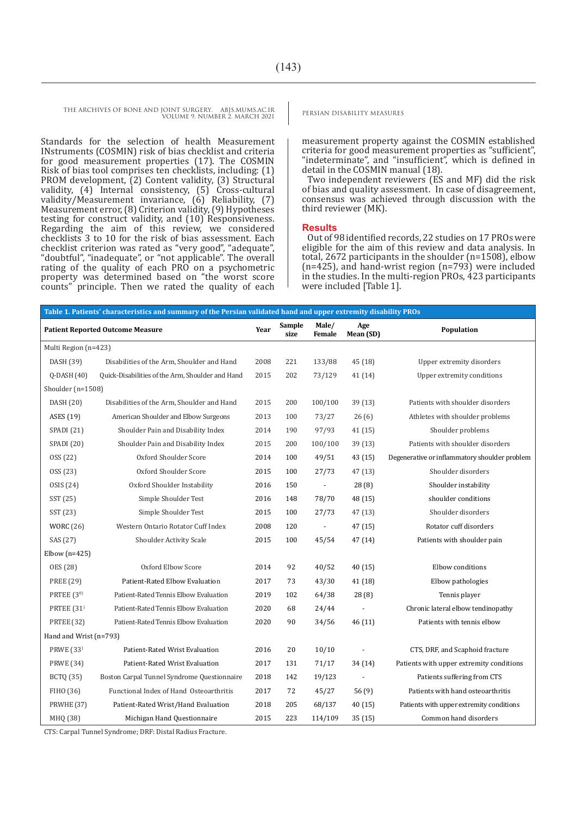> Standards for the selection of health Measurement INstruments (COSMIN) risk of bias checklist and criteria for good measurement properties (17). The COSMIN Risk of bias tool comprises ten checklists, including: (1) PROM development, (2) Content validity, (3) Structural validity, (4) Internal consistency, (5) Cross-cultural validity/Measurement invariance, (6) Reliability, (7) Measurement error, (8) Criterion validity, (9) Hypotheses testing for construct validity, and (10) Responsiveness. Regarding the aim of this review, we considered checklists 3 to 10 for the risk of bias assessment. Each checklist criterion was rated as "very good", "adequate", "doubtful", "inadequate", or "not applicable". The overall rating of the quality of each PRO on a psychometric property was determined based on "the worst score counts" principle. Then we rated the quality of each

measurement property against the COSMIN established criteria for good measurement properties as "sufficient", "indeterminate", and "insufficient", which is defined in detail in the COSMIN manual (18).

Two independent reviewers (ES and MF) did the risk of bias and quality assessment. In case of disagreement, consensus was achieved through discussion with the third reviewer (MK).

#### **Results**

Out of 98 identified records, 22 studies on 17 PROs were eligible for the aim of this review and data analysis. In total, 2672 participants in the shoulder (n=1508), elbow (n=425), and hand-wrist region (n=793) were included in the studies. In the multi-region PROs, 423 participants were included [Table 1].

| Table 1. Patients' characteristics and summary of the Persian validated hand and upper extremity disability PROs |                                                  |      |                |                 |                  |                                               |  |  |
|------------------------------------------------------------------------------------------------------------------|--------------------------------------------------|------|----------------|-----------------|------------------|-----------------------------------------------|--|--|
|                                                                                                                  | <b>Patient Reported Outcome Measure</b>          | Year | Sample<br>size | Male/<br>Female | Age<br>Mean (SD) | Population                                    |  |  |
| Multi Region (n=423)                                                                                             |                                                  |      |                |                 |                  |                                               |  |  |
| DASH (39)                                                                                                        | Disabilities of the Arm, Shoulder and Hand       | 2008 | 221            | 133/88          | 45 (18)          | Upper extremity disorders                     |  |  |
| $Q$ -DASH $(40)$                                                                                                 | Quick-Disabilities of the Arm, Shoulder and Hand | 2015 | 202            | 73/129          | 41(14)           | Upper extremity conditions                    |  |  |
| Shoulder ( $n=1508$ )                                                                                            |                                                  |      |                |                 |                  |                                               |  |  |
| DASH (20)                                                                                                        | Disabilities of the Arm, Shoulder and Hand       | 2015 | 200            | 100/100         | 39 (13)          | Patients with shoulder disorders              |  |  |
| ASES (19)                                                                                                        | American Shoulder and Elbow Surgeons             | 2013 | 100            | 73/27           | 26(6)            | Athletes with shoulder problems               |  |  |
| SPADI (21)                                                                                                       | Shoulder Pain and Disability Index               | 2014 | 190            | 97/93           | 41 (15)          | Shoulder problems                             |  |  |
| SPADI (20)                                                                                                       | Shoulder Pain and Disability Index               | 2015 | 200            | 100/100         | 39(13)           | Patients with shoulder disorders              |  |  |
| OSS (22)                                                                                                         | Oxford Shoulder Score                            | 2014 | 100            | 49/51           | 43 (15)          | Degenerative or inflammatory shoulder problem |  |  |
| OSS (23)                                                                                                         | Oxford Shoulder Score                            | 2015 | 100            | 27/73           | 47 (13)          | Shoulder disorders                            |  |  |
| OSIS (24)                                                                                                        | Oxford Shoulder Instability                      | 2016 | 150            | $\sim$          | 28(8)            | Shoulder instability                          |  |  |
| SST (25)                                                                                                         | Simple Shoulder Test                             | 2016 | 148            | 78/70           | 48 (15)          | shoulder conditions                           |  |  |
| SST (23)                                                                                                         | Simple Shoulder Test                             | 2015 | 100            | 27/73           | 47(13)           | Shoulder disorders                            |  |  |
| <b>WORC</b> (26)                                                                                                 | Western Ontario Rotator Cuff Index               | 2008 | 120            | $\sim$          | 47 (15)          | Rotator cuff disorders                        |  |  |
| SAS (27)                                                                                                         | Shoulder Activity Scale                          | 2015 | 100            | 45/54           | 47 (14)          | Patients with shoulder pain                   |  |  |
| Elbow $(n=425)$                                                                                                  |                                                  |      |                |                 |                  |                                               |  |  |
| OES (28)                                                                                                         | Oxford Elbow Score                               | 2014 | 92             | 40/52           | 40(15)           | Elbow conditions                              |  |  |
| <b>PREE (29)</b>                                                                                                 | Patient-Rated Elbow Evaluation                   | 2017 | 73             | 43/30           | 41 (18)          | Elbow pathologies                             |  |  |
| PRTEE (30)                                                                                                       | Patient-Rated Tennis Elbow Evaluation            | 2019 | 102            | 64/38           | 28 (8)           | Tennis player                                 |  |  |
| PRTEE (31)                                                                                                       | Patient-Rated Tennis Elbow Evaluation            | 2020 | 68             | 24/44           |                  | Chronic lateral elbow tendinopathy            |  |  |
| PRTEE (32)                                                                                                       | Patient-Rated Tennis Elbow Evaluation            | 2020 | 90             | 34/56           | 46 (11)          | Patients with tennis elbow                    |  |  |
| Hand and Wrist (n=793)                                                                                           |                                                  |      |                |                 |                  |                                               |  |  |
| PRWE (33)                                                                                                        | Patient-Rated Wrist Evaluation                   | 2016 | 20             | 10/10           |                  | CTS, DRF, and Scaphoid fracture               |  |  |
| <b>PRWE (34)</b>                                                                                                 | Patient-Rated Wrist Evaluation                   | 2017 | 131            | 71/17           | 34 (14)          | Patients with upper extremity conditions      |  |  |
| BCTQ (35)                                                                                                        | Boston Carpal Tunnel Syndrome Questionnaire      | 2018 | 142            | 19/123          | $\blacksquare$   | Patients suffering from CTS                   |  |  |
| FIHO (36)                                                                                                        | Functional Index of Hand Osteoarthritis          | 2017 | 72             | 45/27           | 56 (9)           | Patients with hand osteoarthritis             |  |  |
| PRWHE <sub>(37)</sub>                                                                                            | Patient-Rated Wrist/Hand Evaluation              | 2018 | 205            | 68/137          | 40 (15)          | Patients with upper extremity conditions      |  |  |
| MHQ (38)                                                                                                         | Michigan Hand Questionnaire                      | 2015 | 223            | 114/109         | 35(15)           | Common hand disorders                         |  |  |

CTS: Carpal Tunnel Syndrome; DRF: Distal Radius Fracture.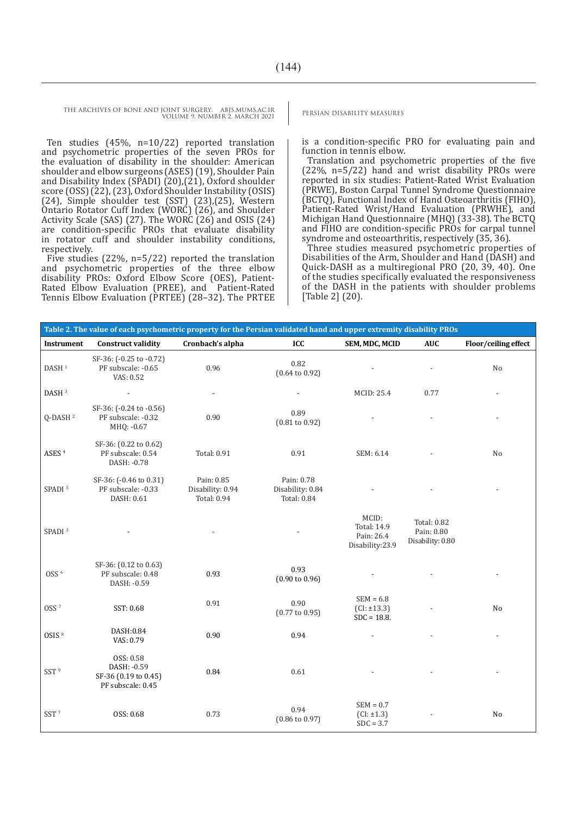Ten studies (45%, n=10/22) reported translation and psychometric properties of the seven PROs for the evaluation of disability in the shoulder: American shoulder and elbow surgeons (ASES) (19), Shoulder Pain and Disability Index (SPADI) (20),(21), Oxford shoulder score (OSS) (22), (23), Oxford Shoulder Instability (OSIS) (24), Simple shoulder test (SST) (23),(25), Western Ontario Rotator Cuff Index (WORC) (26), and Shoulder Activity Scale (SAS) (27). The WORC (26) and OSIS (24) are condition-specific PROs that evaluate disability in rotator cuff and shoulder instability conditions, respectively.

Five studies (22%, n=5/22) reported the translation and psychometric properties of the three elbow disability PROs: Oxford Elbow Score (OES), Patient-Rated Elbow Evaluation (PREE), and Patient-Rated Tennis Elbow Evaluation (PRTEE) (28–32). The PRTEE

is a condition-specific PRO for evaluating pain and function in tennis elbow.

Translation and psychometric properties of the five (22%, n=5/22) hand and wrist disability PROs were reported in six studies: Patient-Rated Wrist Evaluation (PRWE), Boston Carpal Tunnel Syndrome Questionnaire (BCTQ), Functional Index of Hand Osteoarthritis (FIHO), Patient-Rated Wrist/Hand Evaluation (PRWHE), and Michigan Hand Questionnaire (MHQ) (33-38). The BCTQ and FIHO are condition-specific PROs for carpal tunnel syndrome and osteoarthritis, respectively (35, 36).

Three studies measured psychometric properties of Disabilities of the Arm, Shoulder and Hand (DASH) and Quick-DASH as a multiregional PRO (20, 39, 40). One of the studies specifically evaluated the responsiveness of the DASH in the patients with shoulder problems [Table 2] (20).

| Table 2. The value of each psychometric property for the Persian validated hand and upper extremity disability PROs |                                                                       |                                               |                                               |                                                       |                                                      |                      |  |
|---------------------------------------------------------------------------------------------------------------------|-----------------------------------------------------------------------|-----------------------------------------------|-----------------------------------------------|-------------------------------------------------------|------------------------------------------------------|----------------------|--|
| <b>Instrument</b>                                                                                                   | <b>Construct validity</b>                                             | Cronbach's alpha                              | ICC                                           | SEM, MDC, MCID                                        | <b>AUC</b>                                           | Floor/ceiling effect |  |
| DASH $^{\rm 1}$                                                                                                     | SF-36: (-0.25 to -0.72)<br>PF subscale: -0.65<br>VAS: 0.52            | 0.96                                          | 0.82<br>$(0.64 \text{ to } 0.92)$             |                                                       |                                                      | No                   |  |
| DASH <sup>3</sup>                                                                                                   | $\overline{a}$                                                        |                                               |                                               | MCID: 25.4                                            | 0.77                                                 |                      |  |
| Q-DASH <sup>2</sup>                                                                                                 | SF-36: (-0.24 to -0.56)<br>PF subscale: -0.32<br>MHQ: -0.67           | 0.90                                          | 0.89<br>$(0.81 \text{ to } 0.92)$             |                                                       |                                                      |                      |  |
| ASES <sup>4</sup>                                                                                                   | SF-36: (0.22 to 0.62)<br>PF subscale: 0.54<br>DASH: -0.78             | Total: 0.91                                   | 0.91                                          | SEM: 6.14                                             |                                                      | No                   |  |
| SPADI <sup>5</sup>                                                                                                  | SF-36: (-0.46 to 0.31)<br>PF subscale: -0.33<br>DASH: 0.61            | Pain: 0.85<br>Disability: 0.94<br>Total: 0.94 | Pain: 0.78<br>Disability: 0.84<br>Total: 0.84 |                                                       |                                                      |                      |  |
| SPADI <sup>3</sup>                                                                                                  |                                                                       |                                               |                                               | MCID:<br>Total: 14.9<br>Pain: 26.4<br>Disability:23.9 | <b>Total: 0.82</b><br>Pain: 0.80<br>Disability: 0.80 |                      |  |
| OSS <sup>6</sup>                                                                                                    | SF-36: (0.12 to 0.63)<br>PF subscale: 0.48<br>DASH: -0.59             | 0.93                                          | 0.93<br>$(0.90 \text{ to } 0.96)$             |                                                       |                                                      |                      |  |
| OSS <sup>7</sup>                                                                                                    | SST: 0.68                                                             | 0.91                                          | 0.90<br>$(0.77 \text{ to } 0.95)$             | $SEM = 6.8$<br>$(CI: \pm 13.3)$<br>$SDC = 18.8$ .     |                                                      | No                   |  |
| OSIS <sup>8</sup>                                                                                                   | DASH:0.84<br>VAS: 0.79                                                | 0.90                                          | 0.94                                          |                                                       |                                                      |                      |  |
| SST <sup>9</sup>                                                                                                    | OSS: 0.58<br>DASH: -0.59<br>SF-36 (0.19 to 0.45)<br>PF subscale: 0.45 | 0.84                                          | 0.61                                          |                                                       |                                                      |                      |  |
| SST <sup>7</sup>                                                                                                    | OSS: 0.68                                                             | 0.73                                          | 0.94<br>$(0.86 \text{ to } 0.97)$             | $SEM = 0.7$<br>$(CI: \pm 1.3)$<br>$SDC = 3.7$         |                                                      | No                   |  |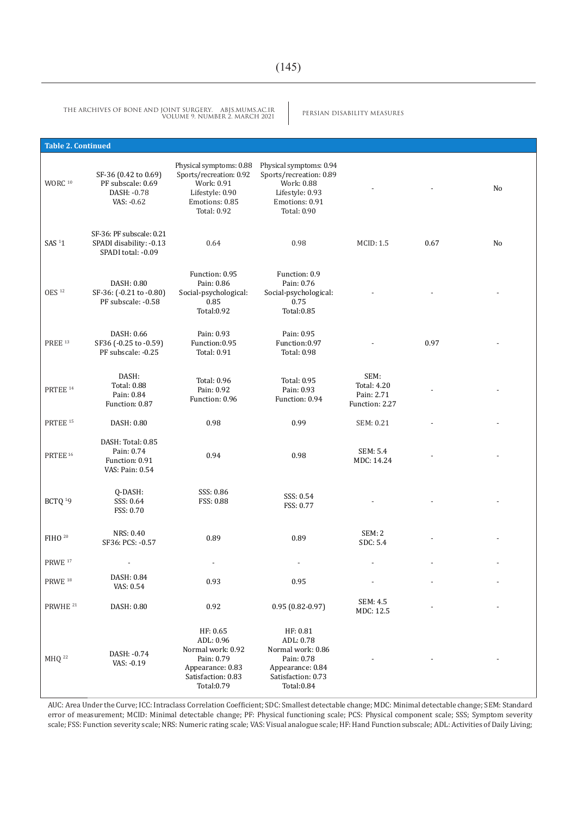PERSIAN DISABILITY MEASURES THE ARCHIVES OF BONE AND JOINT SURGERY. ABJS.MUMS.AC.IR VOLUME 9. NUMBER 2. MARCH 2021

| <b>Table 2. Continued</b> |                                                                           |                                                                                                                             |                                                                                                                      |                                                            |      |    |
|---------------------------|---------------------------------------------------------------------------|-----------------------------------------------------------------------------------------------------------------------------|----------------------------------------------------------------------------------------------------------------------|------------------------------------------------------------|------|----|
| $WORC$<br>$^{\rm 10}$     | SF-36 (0.42 to 0.69)<br>PF subscale: 0.69<br>DASH: - 0.78<br>VAS: -0.62   | Physical symptoms: 0.88<br>Sports/recreation: 0.92<br>Work: 0.91<br>Lifestyle: 0.90<br>Emotions: 0.85<br><b>Total: 0.92</b> | Physical symptoms: 0.94<br>Sports/recreation: 0.89<br>Work: 0.88<br>Lifestyle: 0.93<br>Emotions: 0.91<br>Total: 0.90 |                                                            |      | No |
| SAS <sup>11</sup>         | SF-36: PF subscale: 0.21<br>SPADI disability: -0.13<br>SPADI total: -0.09 | 0.64                                                                                                                        | 0.98                                                                                                                 | <b>MCID: 1.5</b>                                           | 0.67 | No |
| OES <sup>12</sup>         | DASH: 0.80<br>SF-36: (-0.21 to -0.80)<br>PF subscale: -0.58               | Function: 0.95<br>Pain: 0.86<br>Social-psychological:<br>0.85<br>Total: 0.92                                                | Function: 0.9<br>Pain: 0.76<br>Social-psychological:<br>0.75<br>Total: 0.85                                          |                                                            |      |    |
| <b>PREE</b> 13            | DASH: 0.66<br>SF36 (-0.25 to -0.59)<br>PF subscale: -0.25                 | Pain: 0.93<br>Function:0.95<br>Total: 0.91                                                                                  | Pain: 0.95<br>Function:0.97<br>Total: 0.98                                                                           |                                                            | 0.97 |    |
| PRTEE <sup>14</sup>       | DASH:<br><b>Total: 0.88</b><br>Pain: 0.84<br>Function: 0.87               | Total: 0.96<br>Pain: 0.92<br>Function: 0.96                                                                                 | <b>Total: 0.95</b><br>Pain: 0.93<br>Function: 0.94                                                                   | SEM:<br><b>Total: 4.20</b><br>Pain: 2.71<br>Function: 2.27 |      |    |
| PRTEE <sup>15</sup>       | DASH: 0.80                                                                | 0.98                                                                                                                        | 0.99                                                                                                                 | SEM: 0.21                                                  |      |    |
| PRTEE <sup>16</sup>       | DASH: Total: 0.85<br>Pain: 0.74<br>Function: 0.91<br>VAS: Pain: 0.54      | 0.94                                                                                                                        | 0.98                                                                                                                 | SEM: 5.4<br>MDC: 14.24                                     |      |    |
| BCTQ <sup>19</sup>        | Q-DASH:<br>SSS: 0.64<br>FSS: 0.70                                         | SSS: 0.86<br>FSS: 0.88                                                                                                      | SSS: 0.54<br>FSS: 0.77                                                                                               |                                                            |      |    |
| FIHO <sup>20</sup>        | NRS: 0.40<br>SF36: PCS: -0.57                                             | 0.89                                                                                                                        | 0.89                                                                                                                 | SEM: 2<br>SDC: 5.4                                         |      |    |
| $\mathrm{PRWE}$ $^{17}$   |                                                                           |                                                                                                                             | $\frac{1}{2}$                                                                                                        | $\overline{\phantom{a}}$                                   |      |    |
| PRWE <sup>18</sup>        | DASH: 0.84<br>VAS: 0.54                                                   | 0.93                                                                                                                        | 0.95                                                                                                                 |                                                            |      |    |
| PRWHE <sup>21</sup>       | DASH: 0.80                                                                | 0.92                                                                                                                        | $0.95(0.82 - 0.97)$                                                                                                  | SEM: 4.5<br>MDC: 12.5                                      |      |    |
| MHQ <sup>22</sup>         | DASH: - 0.74<br>VAS: -0.19                                                | HF: 0.65<br>ADL: 0.96<br>Normal work: 0.92<br>Pain: 0.79<br>Appearance: 0.83<br>Satisfaction: 0.83<br>Total: 0.79           | HF: 0.81<br>ADL: 0.78<br>Normal work: 0.86<br>Pain: 0.78<br>Appearance: 0.84<br>Satisfaction: 0.73<br>Total:0.84     |                                                            |      |    |

AUC: Area Under the Curve; ICC: Intraclass Correlation Coefficient; SDC: Smallest detectable change; MDC: Minimal detectable change; SEM: Standard error of measurement; MCID: Minimal detectable change; PF: Physical functioning scale; PCS: Physical component scale; SSS; Symptom severity scale; FSS: Function severity scale; NRS: Numeric rating scale; VAS: Visual analogue scale; HF: Hand Function subscale; ADL: Activities of Daily Living;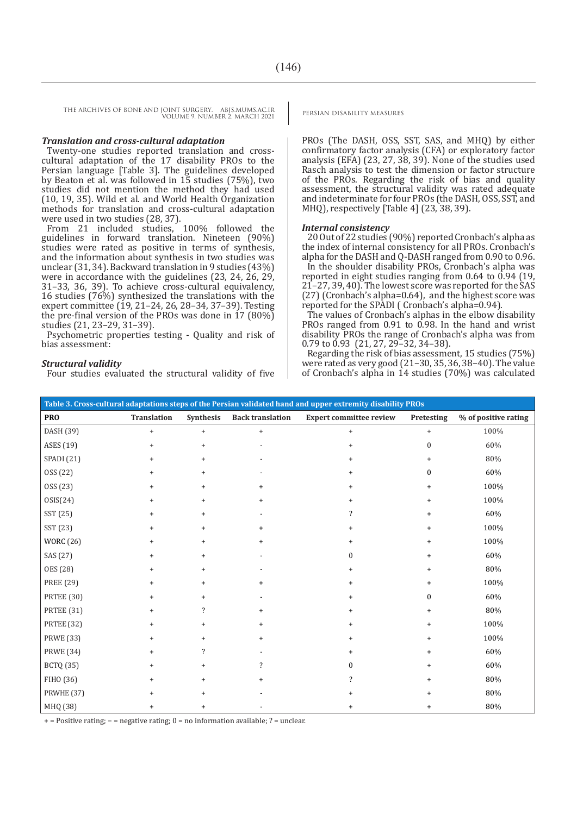#### *Translation and cross-cultural adaptation*

Twenty-one studies reported translation and crosscultural adaptation of the 17 disability PROs to the Persian language [Table 3]. The guidelines developed by Beaton et al. was followed in 15 studies (75%), two studies did not mention the method they had used  $(10, 19, 35)$ . Wild et al. and World Health Organization methods for translation and cross-cultural adaptation were used in two studies (28, 37).

From 21 included studies, 100% followed the guidelines in forward translation. Nineteen (90%) studies were rated as positive in terms of synthesis, and the information about synthesis in two studies was unclear (31, 34). Backward translation in 9 studies (43%) were in accordance with the guidelines (23, 24, 26, 29, 31–33, 36, 39). To achieve cross-cultural equivalency, 16 studies (76%) synthesized the translations with the expert committee (19, 21–24, 26, 28–34, 37–39). Testing the pre-final version of the PROs was done in 17 (80%) studies (21, 23–29, 31–39).

Psychometric properties testing - Quality and risk of bias assessment:

#### *Structural validity*

Four studies evaluated the structural validity of five

PROs (The DASH, OSS, SST, SAS, and MHQ) by either confirmatory factor analysis (CFA) or exploratory factor analysis (EFA) (23, 27, 38, 39). None of the studies used Rasch analysis to test the dimension or factor structure of the PROs. Regarding the risk of bias and quality assessment, the structural validity was rated adequate and indeterminate for four PROs (the DASH, OSS, SST, and MHQ), respectively [Table 4] (23, 38, 39).

#### *Internal consistency*

20 Out of 22 studies (90%) reported Cronbach's alpha as the index of internal consistency for all PROs. Cronbach's alpha for the DASH and Q-DASH ranged from 0.90 to 0.96.

In the shoulder disability PROs, Cronbach's alpha was reported in eight studies ranging from 0.64 to 0.94 (19, 21–27, 39, 40). The lowest score was reported for the SAS (27) (Cronbach's alpha=0.64), and the highest score was reported for the SPADI ( Cronbach's alpha=0.94).

The values of Cronbach's alphas in the elbow disability PROs ranged from 0.91 to 0.98. In the hand and wrist disability PROs the range of Cronbach's alpha was from 0.79 to 0.93 (21, 27, 29–32, 34–38).

Regarding the risk of bias assessment, 15 studies (75%) were rated as very good (21–30, 35, 36, 38–40). The value of Cronbach's alpha in 14 studies (70%) was calculated

| Table 3. Cross-cultural adaptations steps of the Persian validated hand and upper extremity disability PROs |             |                                  |                         |                                |                  |                      |
|-------------------------------------------------------------------------------------------------------------|-------------|----------------------------------|-------------------------|--------------------------------|------------------|----------------------|
| <b>PRO</b>                                                                                                  | Translation | Synthesis                        | <b>Back translation</b> | <b>Expert committee review</b> | Pretesting       | % of positive rating |
| DASH (39)                                                                                                   | $^{+}$      | $\begin{array}{c} + \end{array}$ | $+$                     | $\ddot{}$                      | $\ddot{}$        | 100%                 |
| ASES (19)                                                                                                   | $\ddot{}$   | $^{+}$                           |                         | $\ddot{}$                      | $\mathbf{0}$     | 60%                  |
| SPADI (21)                                                                                                  | $\ddot{}$   | $^{+}$                           |                         | $\ddot{}$                      | $\ddot{}$        | 80%                  |
| OSS (22)                                                                                                    |             | $\ddot{}$                        |                         |                                | $\boldsymbol{0}$ | 60%                  |
| OSS (23)                                                                                                    | $\ddot{}$   | $+$                              | $\ddot{}$               |                                | $\ddot{}$        | 100%                 |
| OSIS(24)                                                                                                    | $\ddot{}$   | $\ddot{}$                        | $+$                     |                                | $\ddot{}$        | 100%                 |
| SST (25)                                                                                                    |             | $\ddot{}$                        |                         |                                | $\ddot{}$        | 60%                  |
| SST (23)                                                                                                    | $\ddot{}$   | $\ddot{}$                        | $\ddot{}$               |                                | $\ddot{}$        | 100%                 |
| <b>WORC</b> (26)                                                                                            | $\ddot{}$   | $\ddot{}$                        | $\ddot{}$               |                                | $\ddot{}$        | 100%                 |
| SAS (27)                                                                                                    | $\ddot{}$   | $\ddot{}$                        |                         | $\Omega$                       | $\ddot{}$        | 60%                  |
| <b>OES</b> (28)                                                                                             | +           | $\ddot{}$                        |                         | $\ddot{}$                      | $\ddot{}$        | 80%                  |
| PREE (29)                                                                                                   |             | $\ddot{}$                        | $\ddot{}$               |                                |                  | 100%                 |
| <b>PRTEE</b> (30)                                                                                           | $\ddot{}$   | $\ddot{}$                        |                         |                                | $\Omega$         | 60%                  |
| PRTEE (31)                                                                                                  | $\ddot{}$   | $\overline{\cdot}$               | $\ddot{}$               | $\ddot{}$                      | $\ddot{}$        | 80%                  |
| PRTEE (32)                                                                                                  |             | $\ddot{}$                        | $\ddot{}$               |                                | $\ddot{}$        | 100%                 |
| <b>PRWE</b> (33)                                                                                            |             | $\ddot{}$                        | $^{+}$                  |                                | $\ddot{}$        | 100%                 |
| <b>PRWE</b> (34)                                                                                            | $\ddot{}$   | ?                                |                         |                                | $\ddot{}$        | 60%                  |
| <b>BCTQ</b> (35)                                                                                            | $^+$        | $\ddot{}$                        | ?                       | $\theta$                       | $\ddot{}$        | 60%                  |
| FIHO (36)                                                                                                   | $\ddot{}$   | $\ddot{}$                        | $\ddot{}$               | $\overline{\phantom{a}}$       | $\ddot{}$        | 80%                  |
| PRWHE (37)                                                                                                  |             | $\ddot{}$                        |                         |                                |                  | 80%                  |
| MHQ (38)                                                                                                    | $\ddot{}$   | $\ddot{}$                        |                         | $\ddot{}$                      | $\ddot{}$        | 80%                  |

+ = Positive rating; − = negative rating; 0 = no information available; ? = unclear.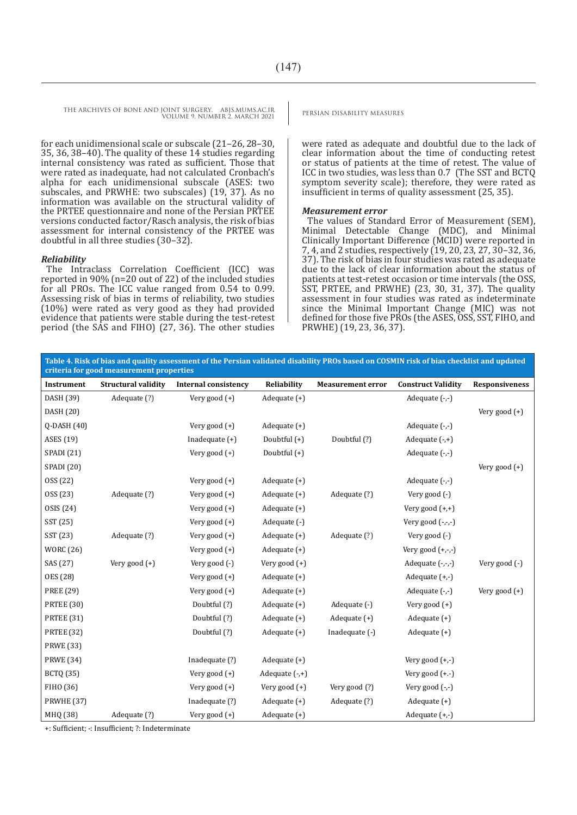for each unidimensional scale or subscale (21–26, 28–30, 35, 36, 38–40). The quality of these 14 studies regarding internal consistency was rated as sufficient. Those that were rated as inadequate, had not calculated Cronbach's alpha for each unidimensional subscale (ASES: two subscales, and PRWHE: two subscales) (19, 37). As no information was available on the structural validity of the PRTEE questionnaire and none of the Persian PRTEE versions conducted factor/Rasch analysis, the risk of bias assessment for internal consistency of the PRTEE was doubtful in all three studies (30–32).

#### *Reliability*

The Intraclass Correlation Coefficient (ICC) was reported in 90% (n=20 out of 22) of the included studies for all PROs. The ICC value ranged from 0.54 to 0.99. Assessing risk of bias in terms of reliability, two studies (10%) were rated as very good as they had provided evidence that patients were stable during the test-retest period (the SAS and FIHO) (27, 36). The other studies

were rated as adequate and doubtful due to the lack of clear information about the time of conducting retest or status of patients at the time of retest. The value of ICC in two studies, was less than 0.7 (The SST and BCTQ symptom severity scale); therefore, they were rated as insufficient in terms of quality assessment (25, 35).

#### *Measurement error*

The values of Standard Error of Measurement (SEM), Minimal Detectable Change (MDC), and Minimal Clinically Important Difference (MCID) were reported in 7, 4, and 2 studies, respectively (19, 20, 23, 27, 30–32, 36, 37). The risk of bias in four studies was rated as adequate due to the lack of clear information about the status of patients at test-retest occasion or time intervals (the OSS, SST, PRTEE, and PRWHE) (23, 30, 31, 37). The quality assessment in four studies was rated as indeterminate since the Minimal Important Change (MIC) was not defined for those five PROs (the ASES, OSS, SST, FIHO, and PRWHE) (19, 23, 36, 37).

**Table 4. Risk of bias and quality assessment of the Persian validated disability PROs based on COSMIN risk of bias checklist and updated criteria for good measurement properties**

| Instrument          | <b>Structural validity</b> | <b>Internal consistency</b> | Reliability     | <b>Measurement error</b> | <b>Construct Validity</b> | <b>Responsiveness</b> |
|---------------------|----------------------------|-----------------------------|-----------------|--------------------------|---------------------------|-----------------------|
| DASH (39)           | Adequate (?)               | Very good $(+)$             | Adequate $(+)$  |                          | Adequate $(-,-)$          |                       |
| DASH (20)           |                            |                             |                 |                          |                           | Very good $(+)$       |
| Q-DASH (40)         |                            | Very good $(+)$             | Adequate $(+)$  |                          | Adequate $(-, -)$         |                       |
| ASES (19)           |                            | Inadequate $(+)$            | Doubtful (+)    | Doubtful (?)             | Adequate $(-,+)$          |                       |
| SPADI (21)          |                            | Very good $(+)$             | Doubtful $(+)$  |                          | Adequate $(-, -)$         |                       |
| SPADI (20)          |                            |                             |                 |                          |                           | Very good $(+)$       |
| OSS <sub>(22)</sub> |                            | Very good $(+)$             | Adequate $(+)$  |                          | Adequate (-,-)            |                       |
| OSS <sub>(23)</sub> | Adequate (?)               | Very good $(+)$             | Adequate $(+)$  | Adequate (?)             | Very good (-)             |                       |
| OSIS (24)           |                            | Very good $(+)$             | Adequate $(+)$  |                          | Very good $(+,+)$         |                       |
| SST (25)            |                            | Very good $(+)$             | Adequate (-)    |                          | Very good $(-,-,-)$       |                       |
| SST (23)            | Adequate (?)               | Very good $(+)$             | Adequate $(+)$  | Adequate (?)             | Very good $(-)$           |                       |
| <b>WORC</b> (26)    |                            | Very good $(+)$             | Adequate $(+)$  |                          | Very good $(+,-,-)$       |                       |
| SAS (27)            | Very good $(+)$            | Very good $(-)$             | Very good $(+)$ |                          | Adequate $(-,-,-)$        | Very good (-)         |
| OES (28)            |                            | Very good (+)               | Adequate $(+)$  |                          | Adequate $(+,-)$          |                       |
| <b>PREE (29)</b>    |                            | Very good $(+)$             | Adequate $(+)$  |                          | Adequate $(-,-)$          | Very good $(+)$       |
| PRTEE (30)          |                            | Doubtful (?)                | Adequate $(+)$  | Adequate (-)             | Very good $(+)$           |                       |
| PRTEE (31)          |                            | Doubtful (?)                | Adequate $(+)$  | Adequate $(+)$           | Adequate $(+)$            |                       |
| <b>PRTEE</b> (32)   |                            | Doubtful (?)                | Adequate $(+)$  | Inadequate (-)           | Adequate $(+)$            |                       |
| <b>PRWE</b> (33)    |                            |                             |                 |                          |                           |                       |
| <b>PRWE</b> (34)    |                            | Inadequate (?)              | Adequate $(+)$  |                          | Very good $(+,-)$         |                       |
| <b>BCTQ (35)</b>    |                            | Very good $(+)$             | Adequate (-,+)  |                          | Very good $(+.-)$         |                       |
| FIHO (36)           |                            | Very good $(+)$             | Very good $(+)$ | Very good (?)            | Very good $(-,-)$         |                       |
| PRWHE (37)          |                            | Inadequate (?)              | Adequate $(+)$  | Adequate (?)             | Adequate $(+)$            |                       |
| MHQ (38)            | Adequate (?)               | Very good $(+)$             | Adequate (+)    |                          | Adequate $(+,-)$          |                       |

+: Sufficient; -: Insufficient; ?: Indeterminate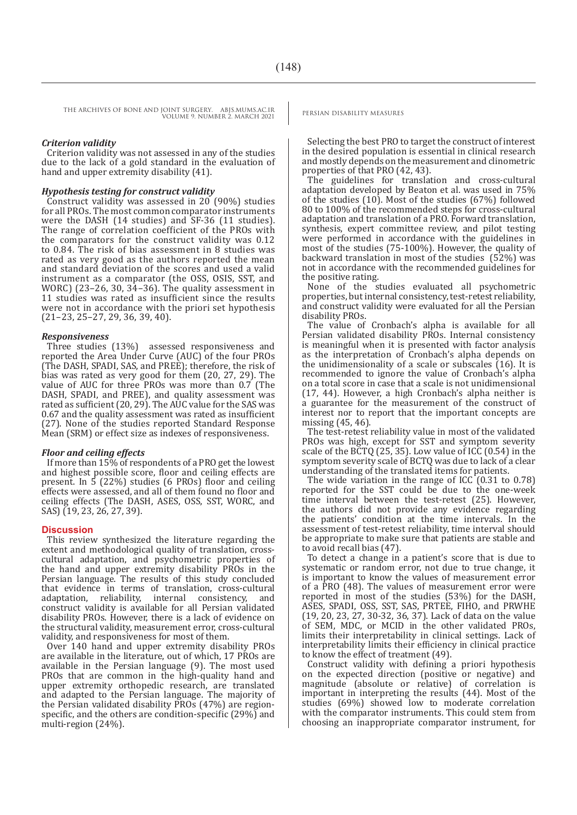### *Criterion validity*

Criterion validity was not assessed in any of the studies due to the lack of a gold standard in the evaluation of hand and upper extremity disability (41).

#### *Hypothesis testing for construct validity*

Construct validity was assessed in 20 (90%) studies for all PROs. The most common comparator instruments were the DASH (14 studies) and SF-36 (11 studies). The range of correlation coefficient of the PROs with the comparators for the construct validity was 0.12 to 0.84. The risk of bias assessment in 8 studies was rated as very good as the authors reported the mean and standard deviation of the scores and used a valid instrument as a comparator (the OSS, OSIS, SST, and WORC) (23–26, 30, 34–36). The quality assessment in 11 studies was rated as insufficient since the results were not in accordance with the priori set hypothesis (21–23, 25–27, 29, 36, 39, 40).

### *Responsiveness*

Three studies (13%) assessed responsiveness and reported the Area Under Curve (AUC) of the four PROs (The DASH, SPADI, SAS, and PREE); therefore, the risk of bias was rated as very good for them (20, 27, 29). The value of AUC for three PROs was more than 0.7 (The DASH, SPADI, and PREE), and quality assessment was rated as sufficient (20, 29). The AUC value for the SAS was 0.67 and the quality assessment was rated as insufficient (27). None of the studies reported Standard Response Mean (SRM) or effect size as indexes of responsiveness.

#### *Floor and ceiling effects*

If more than 15% of respondents of a PRO get the lowest and highest possible score, floor and ceiling effects are present. In 5 (22%) studies (6 PROs) floor and ceiling effects were assessed, and all of them found no floor and ceiling effects (The DASH, ASES, OSS, SST, WORC, and SAS) (19, 23, 26, 27, 39).

### **Discussion**

This review synthesized the literature regarding the extent and methodological quality of translation, crosscultural adaptation, and psychometric properties of the hand and upper extremity disability PROs in the Persian language. The results of this study concluded that evidence in terms of translation, cross-cultural adaptation, reliability, internal construct validity is available for all Persian validated disability PROs. However, there is a lack of evidence on the structural validity, measurement error, cross-cultural validity, and responsiveness for most of them.

Over 140 hand and upper extremity disability PROs are available in the literature, out of which, 17 PROs are available in the Persian language (9). The most used PROs that are common in the high-quality hand and upper extremity orthopedic research, are translated and adapted to the Persian language. The majority of the Persian validated disability PROs (47%) are regionspecific, and the others are condition-specific (29%) and multi-region (24%).

Selecting the best PRO to target the construct of interest in the desired population is essential in clinical research and mostly depends on the measurement and clinometric properties of that PRO (42, 43).

The guidelines for translation and cross-cultural adaptation developed by Beaton et al. was used in 75% of the studies (10). Most of the studies (67%) followed 80 to 100% of the recommended steps for cross-cultural adaptation and translation of a PRO. Forward translation, synthesis, expert committee review, and pilot testing were performed in accordance with the guidelines in most of the studies (75-100%). However, the quality of backward translation in most of the studies (52%) was not in accordance with the recommended guidelines for the positive rating.

None of the studies evaluated all psychometric properties, but internal consistency, test-retest reliability, and construct validity were evaluated for all the Persian disability PROs.

The value of Cronbach's alpha is available for all Persian validated disability PROs. Internal consistency is meaningful when it is presented with factor analysis as the interpretation of Cronbach's alpha depends on the unidimensionality of a scale or subscales (16). It is recommended to ignore the value of Cronbach's alpha on a total score in case that a scale is not unidimensional (17, 44). However, a high Cronbach's alpha neither is a guarantee for the measurement of the construct of interest nor to report that the important concepts are missing (45, 46).

The test-retest reliability value in most of the validated PROs was high, except for SST and symptom severity scale of the BCTQ (25, 35). Low value of ICC (0.54) in the symptom severity scale of BCTQ was due to lack of a clear understanding of the translated items for patients.

The wide variation in the range of ICC  $(0.31 \text{ to } 0.78)$ reported for the SST could be due to the one-week time interval between the test-retest (25). However, the authors did not provide any evidence regarding the patients' condition at the time intervals. In the assessment of test-retest reliability, time interval should be appropriate to make sure that patients are stable and to avoid recall bias (47).

To detect a change in a patient's score that is due to systematic or random error, not due to true change, it is important to know the values of measurement error of a PRO (48). The values of measurement error were reported in most of the studies (53%) for the DASH, ASES, SPADI, OSS, SST, SAS, PRTEE, FIHO, and PRWHE (19, 20, 23, 27, 30-32, 36, 37). Lack of data on the value of SEM, MDC, or MCID in the other validated PROs, limits their interpretability in clinical settings. Lack of interpretability limits their efficiency in clinical practice to know the effect of treatment (49).

Construct validity with defining a priori hypothesis on the expected direction (positive or negative) and magnitude (absolute or relative) of correlation is important in interpreting the results (44). Most of the studies (69%) showed low to moderate correlation with the comparator instruments. This could stem from choosing an inappropriate comparator instrument, for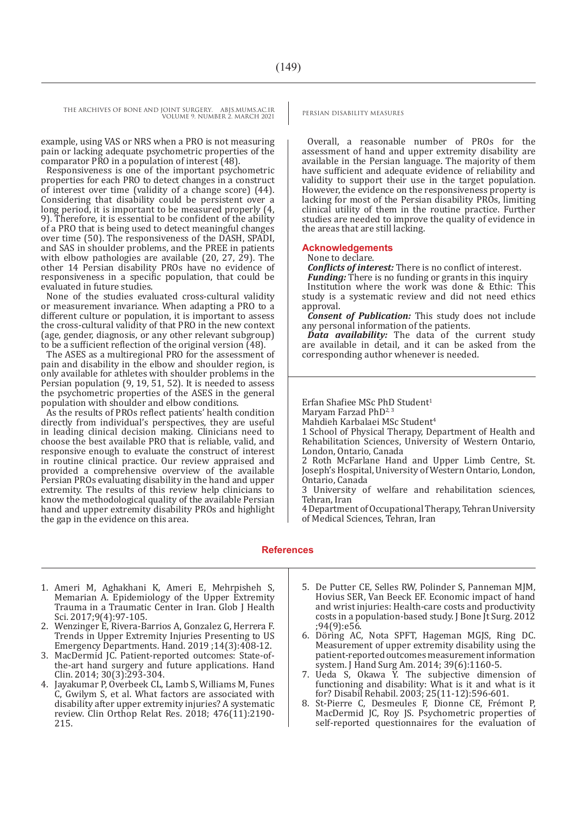example, using VAS or NRS when a PRO is not measuring pain or lacking adequate psychometric properties of the comparator PRO in a population of interest (48).

Responsiveness is one of the important psychometric properties for each PRO to detect changes in a construct of interest over time (validity of a change score) (44). Considering that disability could be persistent over a long period, it is important to be measured properly  $(4)$ . 9). Therefore, it is essential to be confident of the ability of a PRO that is being used to detect meaningful changes over time (50). The responsiveness of the DASH, SPADI, and SAS in shoulder problems, and the PREE in patients with elbow pathologies are available (20, 27, 29). The other 14 Persian disability PROs have no evidence of responsiveness in a specific population, that could be evaluated in future studies.

None of the studies evaluated cross-cultural validity or measurement invariance. When adapting a PRO to a different culture or population, it is important to assess the cross-cultural validity of that PRO in the new context (age, gender, diagnosis, or any other relevant subgroup) to be a sufficient reflection of the original version (48).

The ASES as a multiregional PRO for the assessment of pain and disability in the elbow and shoulder region, is only available for athletes with shoulder problems in the Persian population (9, 19, 51, 52). It is needed to assess the psychometric properties of the ASES in the general population with shoulder and elbow conditions.

As the results of PROs reflect patients' health condition directly from individual's perspectives, they are useful in leading clinical decision making. Clinicians need to choose the best available PRO that is reliable, valid, and responsive enough to evaluate the construct of interest in routine clinical practice. Our review appraised and provided a comprehensive overview of the available Persian PROs evaluating disability in the hand and upper extremity. The results of this review help clinicians to know the methodological quality of the available Persian hand and upper extremity disability PROs and highlight the gap in the evidence on this area.

Overall, a reasonable number of PROs for the assessment of hand and upper extremity disability are available in the Persian language. The majority of them have sufficient and adequate evidence of reliability and validity to support their use in the target population. However, the evidence on the responsiveness property is lacking for most of the Persian disability PROs, limiting clinical utility of them in the routine practice. Further studies are needed to improve the quality of evidence in the areas that are still lacking.

#### **Acknowledgements**

#### None to declare.

*Conflicts of interest:* There is no conflict of interest.

*Funding:* There is no funding or grants in this inquiry Institution where the work was done & Ethic: This

study is a systematic review and did not need ethics approval.

*Consent of Publication:* This study does not include any personal information of the patients.

*Data availability:* The data of the current study are available in detail, and it can be asked from the corresponding author whenever is needed.

Erfan Shafiee MSc PhD Student<sup>1</sup>

Maryam Farzad PhD<sup>2, 3</sup>

Mahdieh Karbalaei MSc Student<sup>4</sup>

1 School of Physical Therapy, Department of Health and Rehabilitation Sciences, University of Western Ontario, London, Ontario, Canada

2 Roth McFarlane Hand and Upper Limb Centre, St. Joseph's Hospital, University of Western Ontario, London, Ontario, Canada

3 University of welfare and rehabilitation sciences, Tehran, Iran

4 Department of Occupational Therapy, Tehran University of Medical Sciences, Tehran, Iran

#### **References**

- 1. Ameri M, Aghakhani K, Ameri E, Mehrpisheh S, Memarian A. Epidemiology of the Upper Extremity Trauma in a Traumatic Center in Iran. Glob J Health Sci. 2017;9(4):97-105.
- 2. Wenzinger E, Rivera-Barrios A, Gonzalez G, Herrera F. Trends in Upper Extremity Injuries Presenting to US Emergency Departments. Hand. 2019 ;14(3):408-12.
- 3. MacDermid JC. Patient-reported outcomes: State-ofthe-art hand surgery and future applications. Hand Clin. 2014; 30(3):293-304.
- 4. Jayakumar P, Overbeek CL, Lamb S, Williams M, Funes C, Gwilym S, et al. What factors are associated with disability after upper extremity injuries? A systematic review. Clin Orthop Relat Res. 2018; 476(11):2190- 215.
- 5. De Putter CE, Selles RW, Polinder S, Panneman MJM, Hovius SER, Van Beeck EF. Economic impact of hand and wrist injuries: Health-care costs and productivity costs in a population-based study. J Bone Jt Surg. 2012 ;94(9):e56.
- 6. Döring AC, Nota SPFT, Hageman MGJS, Ring DC. Measurement of upper extremity disability using the patient-reported outcomes measurement information system. J Hand Surg Am. 2014; 39(6):1160-5.
- 7. Ueda S, Okawa Y. The subjective dimension of functioning and disability: What is it and what is it for? Disabil Rehabil. 2003; 25(11-12):596-601.
- 8. St-Pierre C, Desmeules F, Dionne CE, Frémont P, MacDermid JC, Roy JS. Psychometric properties of self-reported questionnaires for the evaluation of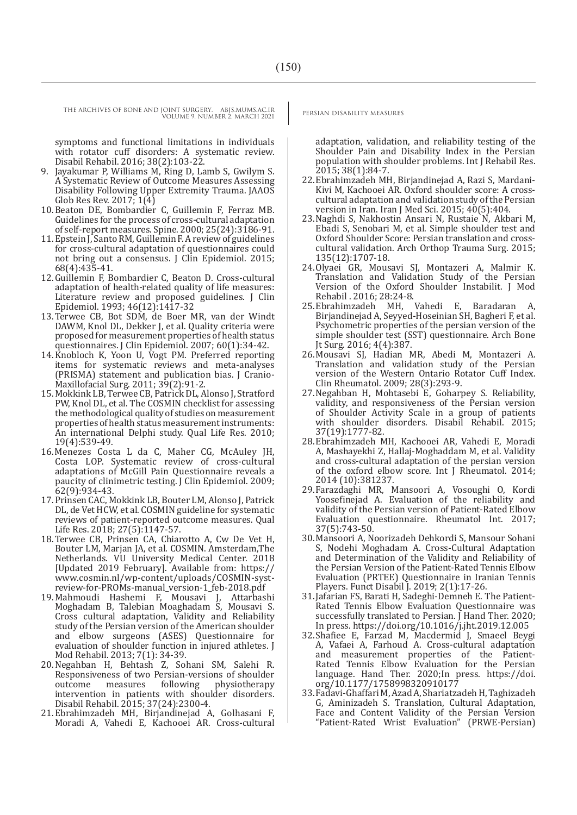symptoms and functional limitations in individuals with rotator cuff disorders: A systematic review. Disabil Rehabil. 2016; 38(2):103-22.

- 9. Jayakumar P, Williams M, Ring D, Lamb S, Gwilym S. A Systematic Review of Outcome Measures Assessing Disability Following Upper Extremity Trauma. JAAOS Glob Res Rev. 2017; 1(4)
- 10.Beaton DE, Bombardier C, Guillemin F, Ferraz MB. Guidelines for the process of cross-cultural adaptation of self-report measures. Spine. 2000; 25(24):3186-91.
- 11.Epstein J, Santo RM, Guillemin F. A review of guidelines for cross-cultural adaptation of questionnaires could not bring out a consensus. J Clin Epidemiol. 2015; 68(4):435-41.
- 12.Guillemin F, Bombardier C, Beaton D. Cross-cultural adaptation of health-related quality of life measures: Literature review and proposed guidelines. J Clin Epidemiol. 1993; 46(12):1417-32
- 13.Terwee CB, Bot SDM, de Boer MR, van der Windt DAWM, Knol DL, Dekker J, et al. Quality criteria were proposed for measurement properties of health status questionnaires. J Clin Epidemiol. 2007; 60(1):34-42.
- 14.Knobloch K, Yoon U, Vogt PM. Preferred reporting items for systematic reviews and meta-analyses (PRISMA) statement and publication bias. J Cranio-Maxillofacial Surg. 2011; 39(2):91-2.
- 15.Mokkink LB, Terwee CB, Patrick DL, Alonso J, Stratford PW, Knol DL, et al. The COSMIN checklist for assessing the methodological quality of studies on measurement properties of health status measurement instruments: An international Delphi study. Qual Life Res. 2010; 19(4):539-49.
- 16.Menezes Costa L da C, Maher CG, McAuley JH, Costa LOP. Systematic review of cross-cultural adaptations of McGill Pain Questionnaire reveals a paucity of clinimetric testing. J Clin Epidemiol. 2009; 62(9):934-43.
- 17.Prinsen CAC, Mokkink LB, Bouter LM, Alonso J, Patrick DL, de Vet HCW, et al. COSMIN guideline for systematic reviews of patient-reported outcome measures. Qual Life Res. 2018; 27(5):1147-57.
- 18.Terwee CB, Prinsen CA, Chiarotto A, Cw De Vet H, Bouter LM, Marjan JA, et al. COSMIN. Amsterdam,The Netherlands. VU University Medical Center. 2018 [Updated 2019 February]. Available from: https:// www.cosmin.nl/wp-content/uploads/COSMIN-systreview-for-PROMs-manual\_version-1\_feb-2018.pdf
- 19.Mahmoudi Hashemi F, Mousavi J, Attarbashi Moghadam B, Talebian Moaghadam S, Mousavi S. Cross cultural adaptation, Validity and Reliability study of the Persian version of the American shoulder and elbow surgeons (ASES) Questionnaire for evaluation of shoulder function in injured athletes. J Mod Rehabil. 2013; 7(1): 34-39.
- 20.Negahban H, Behtash Z, Sohani SM, Salehi R. Responsiveness of two Persian-versions of shoulder<br>outcome measures following physiotherapy physiotherapy intervention in patients with shoulder disorders. Disabil Rehabil. 2015; 37(24):2300-4.
- 21.Ebrahimzadeh MH, Birjandinejad A, Golhasani F, Moradi A, Vahedi E, Kachooei AR. Cross-cultural

adaptation, validation, and reliability testing of the Shoulder Pain and Disability Index in the Persian population with shoulder problems. Int J Rehabil Res. 2015; 38(1):84-7.

- 22.Ebrahimzadeh MH, Birjandinejad A, Razi S, Mardani-Kivi M, Kachooei AR. Oxford shoulder score: A crosscultural adaptation and validation study of the Persian version in Iran. Iran J Med Sci. 2015; 40(5):404.
- 23.Naghdi S, Nakhostin Ansari N, Rustaie N, Akbari M, Ebadi S, Senobari M, et al. Simple shoulder test and Oxford Shoulder Score: Persian translation and crosscultural validation. Arch Orthop Trauma Surg. 2015; 135(12):1707-18.
- 24.Olyaei GR, Mousavi SJ, Montazeri A, Malmir K. Translation and Validation Study of the Persian Version of the Oxford Shoulder Instabilit. J Mod Rehabil . 2016; 28:24-8.<br>25. Ebrahimzadeh MH, Vahedi E, Baradaran A,
- 25.Ebrahimzadeh MH, Vahedi E, Baradaran A, Birjandinejad A, Seyyed-Hoseinian SH, Bagheri F, et al. Psychometric properties of the persian version of the simple shoulder test (SST) questionnaire. Arch Bone Jt Surg. 2016; 4(4):387.
- 26.Mousavi SJ, Hadian MR, Abedi M, Montazeri A. Translation and validation study of the Persian version of the Western Ontario Rotator Cuff Index. Clin Rheumatol. 2009; 28(3):293-9.
- 27.Negahban H, Mohtasebi E, Goharpey S. Reliability, validity, and responsiveness of the Persian version of Shoulder Activity Scale in a group of patients with shoulder disorders. Disabil Rehabil. 2015; 37(19):1777-82.
- 28.Ebrahimzadeh MH, Kachooei AR, Vahedi E, Moradi A, Mashayekhi Z, Hallaj-Moghaddam M, et al. Validity and cross-cultural adaptation of the persian version of the oxford elbow score. Int J Rheumatol. 2014; 2014 (10):381237.
- 29.Farazdaghi MR, Mansoori A, Vosoughi O, Kordi Yoosefinejad A. Evaluation of the reliability and validity of the Persian version of Patient-Rated Elbow Evaluation questionnaire. Rheumatol Int. 2017; 37(5):743-50.
- 30.Mansoori A, Noorizadeh Dehkordi S, Mansour Sohani S, Nodehi Moghadam A. Cross-Cultural Adaptation and Determination of the Validity and Reliability of the Persian Version of the Patient-Rated Tennis Elbow Evaluation (PRTEE) Questionnaire in Iranian Tennis Players. Funct Disabil J. 2019; 2(1):17-26.
- 31.Jafarian FS, Barati H, Sadeghi-Demneh E. The Patient-Rated Tennis Elbow Evaluation Questionnaire was successfully translated to Persian. J Hand Ther. 2020; In press. https://doi.org/10.1016/j.jht.2019.12.005
- 32.Shafiee E, Farzad M, Macdermid J, Smaeel Beygi A, Vafaei A, Farhoud A. Cross-cultural adaptation and measurement properties of the Patient-Rated Tennis Elbow Evaluation for the Persian language. Hand Ther. 2020;In press. https://doi. org/10.1177/1758998320910177
- 33.Fadavi-Ghaffari M, Azad A, Shariatzadeh H, Taghizadeh G, Aminizadeh S. Translation, Cultural Adaptation, Face and Content Validity of the Persian Version "Patient-Rated Wrist Evaluation" (PRWE-Persian)